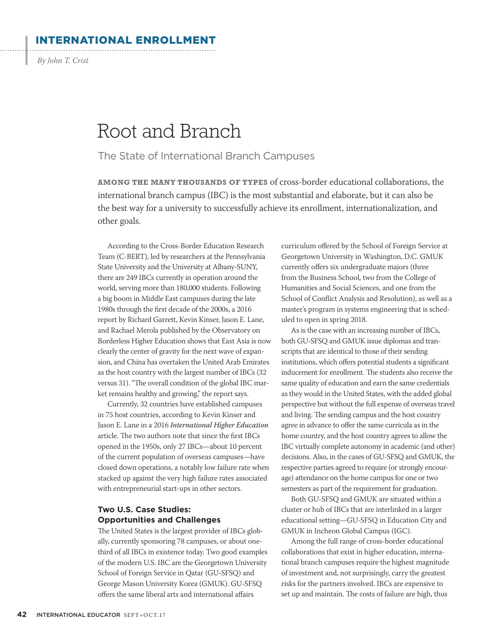### INTERNATIONAL ENROLLMENT

By John T. Crist

 $\cdot$ 

# Root and Branch

## The State of International Branch Campuses

**AMONG THE MANY THOUSANDS OF TYPES** of cross-border educational collaborations, the international branch campus (IBC) is the most substantial and elaborate, but it can also be the best way for a university to successfully achieve its enrollment, internationalization, and other goals.

According to the Cross-Border Education Research Team (C-BERT), led by researchers at the Pennsylvania State University and the University at Albany-SUNY, there are 249 IBCs currently in operation around the world, serving more than 180,000 students. Following a big boom in Middle East campuses during the late 1980s through the first decade of the 2000s, a 2016 report by Richard Garrett, Kevin Kinser, Jason E. Lane, and Rachael Merola published by the Observatory on Borderless Higher Education shows that East Asia is now clearly the center of gravity for the next wave of expansion, and China has overtaken the United Arab Emirates as the host country with the largest number of IBCs (32 versus 31). "The overall condition of the global IBC market remains healthy and growing," the report says.

Currently, 32 countries have established campuses in 75 host countries, according to Kevin Kinser and Jason E. Lane in a 2016 *International Higher Education* article. The two authors note that since the first IBCs opened in the 1950s, only 27 IBCs—about 10 percent of the current population of overseas campuses—have closed down operations, a notably low failure rate when stacked up against the very high failure rates associated with entrepreneurial start-ups in other sectors.

#### **Two U.S. Case Studies: Opportunities and Challenges**

The United States is the largest provider of IBCs globally, currently sponsoring 78 campuses, or about onethird of all IBCs in existence today. Two good examples of the modern U.S. IBC are the Georgetown University School of Foreign Service in Qatar (GU-SFSQ) and George Mason University Korea (GMUK). GU-SFSQ offers the same liberal arts and international affairs

curriculum offered by the School of Foreign Service at Georgetown University in Washington, D.C. GMUK currently offers six undergraduate majors (three from the Business School, two from the College of Humanities and Social Sciences, and one from the School of Conflict Analysis and Resolution), as well as a master's program in systems engineering that is scheduled to open in spring 2018.

As is the case with an increasing number of IBCs, both GU-SFSQ and GMUK issue diplomas and transcripts that are identical to those of their sending institutions, which offers potential students a significant inducement for enrollment. The students also receive the same quality of education and earn the same credentials as they would in the United States, with the added global perspective but without the full expense of overseas travel and living. The sending campus and the host country agree in advance to offer the same curricula as in the home country, and the host country agrees to allow the IBC virtually complete autonomy in academic (and other) decisions. Also, in the cases of GU-SFSQ and GMUK, the respective parties agreed to require (or strongly encourage) attendance on the home campus for one or two semesters as part of the requirement for graduation.

Both GU-SFSQ and GMUK are situated within a cluster or hub of IBCs that are interlinked in a larger educational setting—GU-SFSQ in Education City and GMUK in Incheon Global Campus (IGC).

Among the full range of cross-border educational collaborations that exist in higher education, international branch campuses require the highest magnitude of investment and, not surprisingly, carry the greatest risks for the partners involved. IBCs are expensive to set up and maintain. The costs of failure are high, thus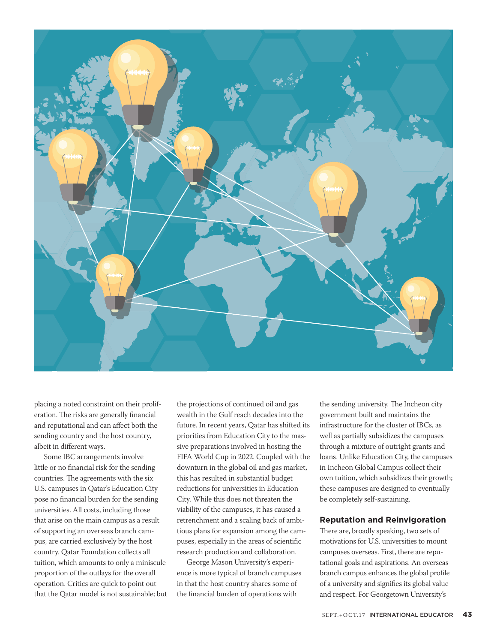

placing a noted constraint on their proliferation. The risks are generally financial and reputational and can affect both the sending country and the host country, albeit in different ways.

Some IBC arrangements involve little or no financial risk for the sending countries. The agreements with the six U.S. campuses in Qatar's Education City pose no financial burden for the sending universities. All costs, including those that arise on the main campus as a result of supporting an overseas branch campus, are carried exclusively by the host country. Qatar Foundation collects all tuition, which amounts to only a miniscule proportion of the outlays for the overall operation. Critics are quick to point out that the Qatar model is not sustainable; but the projections of continued oil and gas wealth in the Gulf reach decades into the future. In recent years, Qatar has shifted its priorities from Education City to the massive preparations involved in hosting the FIFA World Cup in 2022. Coupled with the downturn in the global oil and gas market, this has resulted in substantial budget reductions for universities in Education City. While this does not threaten the viability of the campuses, it has caused a retrenchment and a scaling back of ambitious plans for expansion among the campuses, especially in the areas of scientific research production and collaboration.

George Mason University's experience is more typical of branch campuses in that the host country shares some of the financial burden of operations with

the sending university. The Incheon city government built and maintains the infrastructure for the cluster of IBCs, as well as partially subsidizes the campuses through a mixture of outright grants and loans. Unlike Education City, the campuses in Incheon Global Campus collect their own tuition, which subsidizes their growth; these campuses are designed to eventually be completely self-sustaining.

#### **Reputation and Reinvigoration**

There are, broadly speaking, two sets of motivations for U.S. universities to mount campuses overseas. First, there are reputational goals and aspirations. An overseas branch campus enhances the global profile of a university and signifies its global value and respect. For Georgetown University's